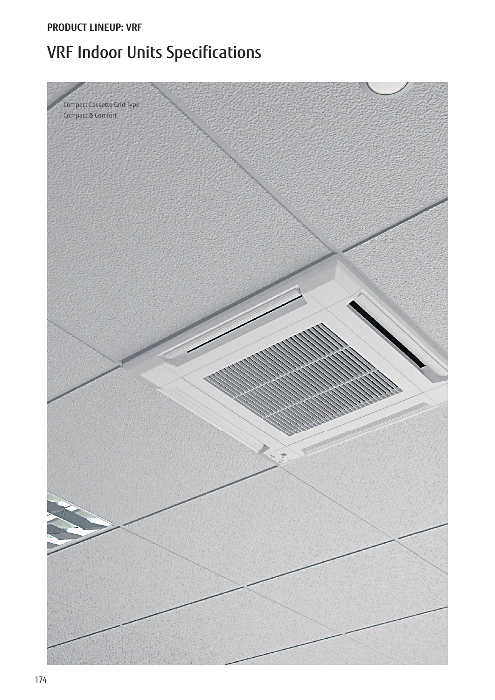### **PRODUCT LINEUP: VRF**

# VRF Indoor Units Specifications

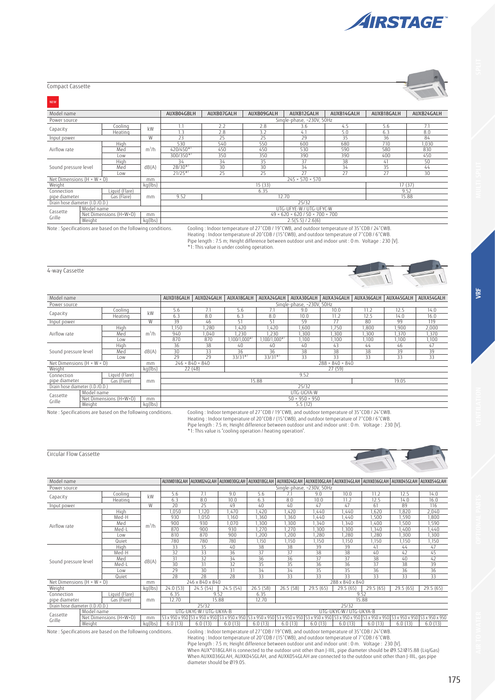

| Compact Cassette |  |
|------------------|--|

| <b>NEW</b>                             |            |                        |            |                                                       |                           |            |                         |            |            |            |  |  |
|----------------------------------------|------------|------------------------|------------|-------------------------------------------------------|---------------------------|------------|-------------------------|------------|------------|------------|--|--|
| Model name                             |            |                        |            | AUXB04GBLH                                            | AUXB07GALH                | AUXB09GALH | AUXB12GALH              | AUXB14GALH | AUXB18GALH | AUXB24GALH |  |  |
| Power source                           |            |                        |            |                                                       | Single-phase, ~230V, 50Hz |            |                         |            |            |            |  |  |
| Capacity                               |            | Cooling                | kW         | 1.1                                                   | 2.2                       | 2.8        | 3.6                     | 4.5        | 5.6        |            |  |  |
|                                        |            | Heating                |            | $\cdot$ <sup>3</sup>                                  | 2.8                       | 3.2        | 4.1                     | 5.0        | 6.3        | 8.0        |  |  |
| Input power                            |            |                        | W          | 23                                                    | 25                        | 25         | 29                      | 35         | 36         | 84         |  |  |
|                                        |            | High                   |            | 530                                                   | 540                       | 550        | 600                     | 680        | 710        | 1,030      |  |  |
| Airflow rate                           |            | Med                    | $m^3/h$    | 420/450*                                              | 450                       | 450        | 530                     | 590        | 580        | 830        |  |  |
|                                        | Low        |                        | 300/350*1  | 350                                                   | 350                       | 390        | 390                     | 400        | 450        |            |  |  |
|                                        |            | High                   |            | 34                                                    | 34                        | 35         | 37                      | 38         | 41         | 50         |  |  |
| Sound pressure level                   |            | Med                    | dB(A)      | $28/30*$                                              | 30                        | 30         | 34                      | 34         | 35         | 44         |  |  |
|                                        |            | Low                    |            | $21/25*$                                              | 25                        | 25         | 27                      | 27         | 27         | 30         |  |  |
| Net Dimensions $(H \times W \times D)$ |            |                        | mm         | $245 \times 570 \times 570$                           |                           |            |                         |            |            |            |  |  |
| Weight                                 |            |                        | $kq$ (lbs) |                                                       |                           | 15(33)     |                         |            | 17(37)     |            |  |  |
| Connection                             |            | Liquid (Flare)         |            |                                                       |                           | 6.35       |                         |            | 9.52       |            |  |  |
| pipe diameter                          |            | Gas (Flare)            | mm         | 9.52                                                  |                           |            | 12.70                   |            |            | 15.88      |  |  |
| Drain hose diameter (I.D./O.D.)        |            |                        |            |                                                       |                           |            | 25/32                   |            |            |            |  |  |
| Cassette                               | Model name |                        |            |                                                       |                           |            | UTG-UFYE-W / UTG-UFYC-W |            |            |            |  |  |
| Grille                                 |            | Net Dimensions (H×W×D) | mm         | $49 \times 620 \times 620 / 50 \times 700 \times 700$ |                           |            |                         |            |            |            |  |  |
|                                        | Weight     |                        | kq(lbs)    |                                                       |                           |            | $2.5(5.5)$ / $2.6(6)$   |            |            |            |  |  |

Note : Specifications are based on the following conditions. Cooling : Indoor temperature of 27°CDB / 19°CWB, and outdoor temperature of 35°CDB / 24°CWB.<br>Heating : Indoor temperature of 20°CDB / (15°CWB), and outdoor te

4-way Cassette

| Model name                             |        |                        |                   | AUXD18GALH                 | AUXD24GALH                                                 | AUXA18GALH     | AUXA24GALH     | AUXA30GALH | AUXA34GALH | AUXA36GALH | AUXA45GALH | AUXA54GALH |
|----------------------------------------|--------|------------------------|-------------------|----------------------------|------------------------------------------------------------|----------------|----------------|------------|------------|------------|------------|------------|
| Power source                           |        |                        |                   |                            | Single-phase, ~230V, 50Hz                                  |                |                |            |            |            |            |            |
| Capacity                               |        | Cooling                | kW                | 5.6                        | 7.1                                                        | 5.6            | 7.1            | 9.0        | 10.0       | 11.2       | 12.5       | 14.0       |
|                                        |        | Heating                |                   | 6.3                        | 8.0                                                        | 6.3            | 8.0            | 10.0       | 11.2       | 12.5       | 14.0       | 16.0       |
| Input power                            |        |                        | W                 | 39                         | 46                                                         | 51             | 51             | 59         | 77         | 80         | 99         | 119        |
|                                        |        | High                   |                   | ,150                       | .280                                                       | 1,420          | ,420           | .600       | 1,750      | ,800       | 1,900      | 2,000      |
| Airflow rate                           |        | Med                    | m <sup>3</sup> /h | 940                        | 1.040                                                      | ,230           | ,230           | 1,300      | .300       | .300       | 1.370      | 1,370      |
|                                        |        | Low                    |                   | 870                        | 870                                                        | $1.100/1.000*$ | $1,100/1,000*$ | 1,100      | 1,100      | 1.100      | 1.100      | 1,100      |
|                                        |        | High                   |                   | 36                         | 38                                                         | 40             | 40             | 40         | 43         | 44         | 46         | 47         |
| Sound pressure level                   |        | Med                    | dB(A)             | 30                         | 33                                                         | 36             | 36             | 38         | 38         | 38         | 39         | 39         |
|                                        |        | Low                    |                   | 29                         | 29                                                         | $33/31*$       | $33/31*$       | 33         | 33         | 33         | 33         | 33         |
| Net Dimensions $(H \times W \times D)$ |        |                        | mm                |                            | $288 \times 840 \times 840$<br>$246 \times 840 \times 840$ |                |                |            |            |            |            |            |
| Weight                                 |        |                        | $kq$ (lbs)        | 22(48)                     |                                                            |                |                |            | 27 (59)    |            |            |            |
| Connection                             |        | Liquid (Flare)         |                   |                            |                                                            |                |                | 9.52       |            |            |            |            |
| pipe diameter                          |        | Gas (Flare)            | mm                |                            |                                                            |                | 15.88          |            |            |            | 19.05      |            |
| Drain hose diameter (I.D./O.D.)        |        |                        |                   |                            |                                                            |                |                | 25/32      |            |            |            |            |
| Model name<br>Cassette                 |        |                        |                   | UTG-UGYA-W                 |                                                            |                |                |            |            |            |            |            |
| Grille                                 |        | Net Dimensions (H×W×D) | mm                | $50 \times 950 \times 950$ |                                                            |                |                |            |            |            |            |            |
|                                        | Weight |                        | kg(lbs)           |                            |                                                            |                |                | 5.5(12)    |            |            |            |            |

Note : Specifications are based on the following conditions. Cooling : Indoor temperature of 27ÝCDB / 19ÝCWB, and outdoor temperature of 35ÝCDB / 24ÝCWB. Heating : Indoor temperature of 20ÝCDB / (15ÝCWB), and outdoor temperature of 7ÝCDB / 6ÝCWB. Pipe length : 7.5 m; Height difference between outdoor unit and indoor unit : 0 m. Voltage : 230 [V]. \*1: This value is "cooling operation / heating operation".

Circular Flow Cassette

| Model name                             |                                 |                        |         |                 |                         | AUXM018GLAH   AUXM024GLAH   AUXM030GLAH   AUXK018GLAH   AUXK024GLAH   AUXK030GLAH   AUXK034GLAH   AUXK036GLAH   AUXK045GLAH   AUXK054GLAH   AUXK054GLAH |                 |                 |                           |                         |                 |                 |                                                                                                                                                                                                                                |
|----------------------------------------|---------------------------------|------------------------|---------|-----------------|-------------------------|---------------------------------------------------------------------------------------------------------------------------------------------------------|-----------------|-----------------|---------------------------|-------------------------|-----------------|-----------------|--------------------------------------------------------------------------------------------------------------------------------------------------------------------------------------------------------------------------------|
| Power source                           |                                 |                        |         |                 |                         |                                                                                                                                                         |                 |                 | Single-phase, ~230V, 50Hz |                         |                 |                 |                                                                                                                                                                                                                                |
| Capacity                               |                                 | Cooling                | kW      | 5.6             | 7.1                     | 9.0                                                                                                                                                     | 5.6             | 7.1             | 9.0                       | 10.0                    | 11.2            | 12.5            | 14.0                                                                                                                                                                                                                           |
|                                        |                                 | Heating                |         | 6.3             | 8.0                     | 10.0                                                                                                                                                    | 6.3             | 8.0             | 10.0                      | 11.2                    | 12.5            | 14.0            | 16.0                                                                                                                                                                                                                           |
| Input power                            |                                 |                        | W       | 20              | 25                      | 49                                                                                                                                                      | 40              | 40              | 47                        | 47                      | 61              | 89              | 116                                                                                                                                                                                                                            |
|                                        |                                 | High                   |         | 1,050           | 1,120                   | ,470                                                                                                                                                    | ,420            | 1,420           | 1,440                     | 1,440                   | 1,620           | ,820            | 2,040                                                                                                                                                                                                                          |
|                                        |                                 | Med-H                  |         | 930             | 1,050                   | .160                                                                                                                                                    | ,360            | 1,360           | 1.440                     | 1,440                   | 1,500           | 1,590           | ,800                                                                                                                                                                                                                           |
| Airflow rate                           |                                 | Med                    | $m^3/h$ | 900             | 930                     | .070                                                                                                                                                    | ,300            | 1,300           | ,340                      | .340                    | 1,400           | 1,500           | .590                                                                                                                                                                                                                           |
|                                        |                                 | Med-L                  |         | 870             | 900                     | 930                                                                                                                                                     | .270            | 1,270           | .300                      | ,300                    | 1,340           | 1,400           | ,440                                                                                                                                                                                                                           |
|                                        |                                 | Low                    |         | 810             | 870                     | 900                                                                                                                                                     | ,200            | 1,200           | ,280                      | ,280                    | 1,280           | 1,300           | 1,300                                                                                                                                                                                                                          |
|                                        |                                 | Quiet                  |         | 780             | 780                     | 780                                                                                                                                                     | 1,150           | 1,150           | 1,150                     | ,150                    | 1,150           | 1.150           | 1,150                                                                                                                                                                                                                          |
|                                        |                                 | High                   |         | 33              | 35                      | 40                                                                                                                                                      | 38              | 38              | 39                        | 39                      | 41              | 44              | 47                                                                                                                                                                                                                             |
|                                        |                                 | Med-H                  |         | 32              | 33                      | 36                                                                                                                                                      | 37              | 37              | 38                        | 38                      | 40              | 42              | 45                                                                                                                                                                                                                             |
| Sound pressure level                   |                                 | Med                    | dB(A)   | 31              | 32                      | 34                                                                                                                                                      | 36              | 36              | 37                        | 37                      | 38              | 40              | 42                                                                                                                                                                                                                             |
|                                        |                                 | Med-L                  |         | 30              | 31                      | 32                                                                                                                                                      | 35              | 35              | 36                        | 36                      | 37              | 38              | 39                                                                                                                                                                                                                             |
|                                        |                                 | Low                    |         | 29              | 30                      | 31                                                                                                                                                      | 34              | 34              | 35                        | 35                      | 36              | 36              | 36                                                                                                                                                                                                                             |
|                                        |                                 | Quiet                  |         | $\overline{28}$ | $\overline{28}$         | $\overline{28}$                                                                                                                                         | $\overline{33}$ | $\overline{33}$ | $\overline{33}$           | $\overline{33}$         | $\overline{33}$ | $\overline{33}$ | $\frac{1}{33}$                                                                                                                                                                                                                 |
| Net Dimensions $(H \times W \times D)$ |                                 |                        | mm      |                 | 246 x 840 x 840         |                                                                                                                                                         | 288 x 840 x 840 |                 |                           |                         |                 |                 |                                                                                                                                                                                                                                |
| Weight                                 |                                 |                        | kg(lbs) | 24.0(53)        | 24.5(54)                | 24.5(54)                                                                                                                                                | 26.5(58)        | 26.5(58)        | 29.5(65)                  | 29.5(65)                | 29.5(65)        | 29.5(65)        | 29.5(65)                                                                                                                                                                                                                       |
| Connection                             |                                 | Liquid (Flare)         |         | 6.35            |                         | 9.52                                                                                                                                                    | 6.35            |                 |                           |                         | 9.52            |                 |                                                                                                                                                                                                                                |
| pipe diameter                          |                                 | Gas (Flare)            | mm      | 12.70           |                         | 15.88                                                                                                                                                   | 12.70           |                 |                           |                         | 15.88           |                 |                                                                                                                                                                                                                                |
|                                        | Drain hose diameter (I.D./O.D.) |                        |         |                 | 25/32                   |                                                                                                                                                         |                 |                 |                           | 25/32                   |                 |                 |                                                                                                                                                                                                                                |
|                                        | Model name                      |                        |         |                 | UTG-UKYC-W / UTG-UKYA-B |                                                                                                                                                         |                 |                 |                           | UTG-UKYC-W / UTG-UKYA-B |                 |                 |                                                                                                                                                                                                                                |
| Cassette                               |                                 | Net Dimensions (H×W×D) | mm      |                 |                         |                                                                                                                                                         |                 |                 |                           |                         |                 |                 | 50 x 950 x 950 53 x 950 x 950 53 x 950 x 950 53 x 950 x 950 53 x 950 x 950 53 x 950 x 950 53 x 950 x 950 53 x 950 x 950 53 x 950 x 950 53 x 950 x 950 53 x 950 x 950 53 x 950 x 950 53 x 950 x 950 53 x 950 x 950 53 x 950 x 9 |
| Grille                                 | Weight                          |                        | kg(lbs) | 6.0(13)         | 6.0(13)                 | 6.0(13)                                                                                                                                                 | 6.0(13)         | 6.0(13)         | 6.0(13)                   | 6.0(13)                 | 6.0(13)         | 6.0(13)         | 6.0(13)                                                                                                                                                                                                                        |
|                                        |                                 |                        |         |                 |                         | $\epsilon$ ii ii $\epsilon$ (27% contractive iii iii) can ferromanate the                                                                               |                 |                 |                           |                         |                 |                 |                                                                                                                                                                                                                                |

Note : Specifications are based on the following conditions. Cooling : Indoor temperature of 27ÝCDB / 19ÝCWB, and outdoor temperature of 35ÝCDB / 24ÝCWB. Heating : Indoor temperature of 20ÝCDB / (15ÝCWB), and outdoor temperature of 7ÝCDB / 6ÝCWB. Pipe length : 7.5 m; Height difference between outdoor unit and indoor unit : 0 m. Voltage : 230 [V]. When AUX\*018GLAH is connected to the outdoor unit other than J-IIIL, pipe diameter should be Ø9.52/Ø15.88 (Liq/Gas) When AUXK036GLAH, AUXK045GLAH, and AUXK054GLAH are connected to the outdoor unit other than J-IIIL, gas pipe diameter should be Ø19.05.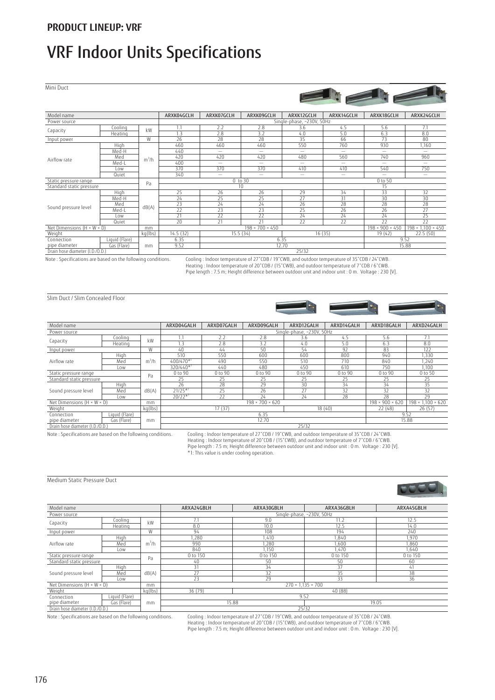## VRF Indoor Units Specifications

Mini Duct



Note : Specifications are based on the following conditions. Cooling : Indoor temperature of 27°CDB / 19°CWB, and outdoor temperature of 35°CDB / 24°CWB.

Heating : Indoor temperature of 20°CDB / (15°CWB), and outdoor temperature of 7°CDB / 6°CWB Pipe length : 7.5 m; Height difference between outdoor unit and indoor unit : 0 m. Voltage : 230 [V].

Slim Duct / Slim Concealed Floor



| Model name                             |                |                   | ARXD04GALH     | ARXD07GALH                | ARXD09GALH                  | ARXD12GALH | ARXD14GALH | ARXD18GALH                  | ARXD24GALH                    |  |  |
|----------------------------------------|----------------|-------------------|----------------|---------------------------|-----------------------------|------------|------------|-----------------------------|-------------------------------|--|--|
| Power source                           |                |                   |                | Single-phase, ~230V, 50Hz |                             |            |            |                             |                               |  |  |
|                                        | Cooling        | kW                | 1.1            | 2.2                       | 2.8                         | 3.6        | 4.5        | 5.6                         | 7.1                           |  |  |
| Capacity                               | Heating        |                   |                | 2.8                       | 3.2                         | 4.0        | 5.0        | 6.3                         | 8.0                           |  |  |
| Input power                            |                | W                 | 40             | 44                        | 50                          | 54         | 92         | 83                          | 122                           |  |  |
|                                        | High           |                   | 510            | 550                       | 600                         | 600        | 800        | 940                         | 1.330                         |  |  |
| Airflow rate                           | Med            | m <sup>3</sup> /h | 400/470*1      | 490                       | 550                         | 510        | 710        | 840                         | 1.240                         |  |  |
|                                        | Low            |                   | 320/440*1      | 440                       | 480                         | 450        | 610        | 750                         | 1.100                         |  |  |
| Static pressure range                  |                | Pa                | 0 to 90        | 0 to 90                   | 0 to 90                     | 0 to 90    | 0 to 90    | 0 to 90                     | 0 to 50                       |  |  |
| Standard static pressure               |                |                   | 25             | 25                        | 25                          | 25         | 25         | 25                          | 25                            |  |  |
|                                        | High           |                   | 26             | 28                        | 29                          | 30         | 34         | 34                          | 35                            |  |  |
| Sound pressure level                   | Med            | dB(A)             | $21/25*$       | 25                        | 26                          | 27         | 32         | 32                          | 32                            |  |  |
|                                        | Low            |                   | $20/22^{*1}$   | 22                        | 24                          | 24         | 28         | 28                          | 29                            |  |  |
| Net Dimensions $(H \times W \times D)$ |                | mm                |                |                           | $198 \times 700 \times 620$ |            |            | $198 \times 900 \times 620$ | $198 \times 1.100 \times 620$ |  |  |
| kg(lbs)<br>Weight                      |                |                   |                | 17(37)                    |                             | 18(40)     |            | 22(48)                      | 26(57)                        |  |  |
| Connection                             | Liquid (Flare) |                   | 6.35           |                           |                             |            |            |                             | 9.52                          |  |  |
| pipe diameter<br>Gas (Flare)<br>mm     |                |                   | 12.70<br>15.88 |                           |                             |            |            |                             |                               |  |  |
| Drain hose diameter (I.D./O.D.)        |                |                   |                |                           |                             | 25/32      |            |                             |                               |  |  |

Note : Specifications are based on the following conditions. Cooling : Indoor temperature of 27\*CDB / 19\*CWB, and outdoor temperature of 35\*CDB / 24\*CWB Heating : Indoor temperature of 20°CDB / (15°CWB), and outdoor temperature of 7°CDB / 6°CWB.<br>Pipe length : 7.5 m; Height difference between outdoor unit and indoor unit : 0 m. Voltage : 230 [V].<br>\*1: This value is under co

### Medium Static Pressure Duct

Power source

Net Dimensions (

Connection pipe diameter

|                                        |         |         |                           |                              |            | <b>All Property State</b> |  |  |  |  |
|----------------------------------------|---------|---------|---------------------------|------------------------------|------------|---------------------------|--|--|--|--|
| Model name                             |         |         | ARXA24GBLH                | ARXA30GBLH                   | ARXA36GBLH | ARXA45GBLH                |  |  |  |  |
| Power source                           |         |         | Single-phase, ~230V, 50Hz |                              |            |                           |  |  |  |  |
| Capacity                               | Coolina | kW      | 7.1                       | 9.0                          | 11.2       | 12.5                      |  |  |  |  |
|                                        | Heating |         | 8.0                       | 10.0                         | 12.5       | 14.0                      |  |  |  |  |
| Input power                            |         | W       | 94                        | 108                          | 194        | 240                       |  |  |  |  |
| Airflow rate                           | High    |         | .280                      | 1.410                        | .840       | 1,970                     |  |  |  |  |
|                                        | Med     | $m^3/h$ | 990                       | .280                         | 1.600      | 1.860                     |  |  |  |  |
|                                        | Low     |         | 840                       | 1,150                        | 1.470      | 1,640                     |  |  |  |  |
| Static pressure range                  |         | Pa      | 0 to 150                  | 0 to 150                     | 0 to 150   | 0 to 150                  |  |  |  |  |
| Standard static pressure               |         |         | 40                        | 50                           | 50         | 60                        |  |  |  |  |
|                                        | High    |         | 31                        | 34                           | 37         | 41                        |  |  |  |  |
| Sound pressure level                   | Med     | dB(A)   | 27                        | 32                           | 35         | 38                        |  |  |  |  |
|                                        | Low     |         | 23                        | 29                           | 33         | 36                        |  |  |  |  |
| Net Dimensions $(H \times W \times D)$ |         | mm      |                           | $270 \times 1135 \times 700$ |            |                           |  |  |  |  |

Gas (Flare) 15.88 19.05 19.05 19.05 19.05 19.05 19.05 19.05 19.05 19.05 19.05 19.05 19.05 19.05 19.05 19.05 19

Weight kg(lbs) 36 (79) 40 (88)

Drain hose diameter (I.D.

Liquid (Flare)

mm

Note : Specifications are based on the following conditions. Cooling : Indoor temperature of 27ÝCDB / 19ÝCWB, and outdoor temperature of 35ÝCDB / 24ÝCWB. Heating : Indoor temperature of 20ÝCDB / (15ÝCWB), and outdoor temperature of 7ÝCDB / 6ÝCWB. Pipe length : 7.5 m; Height difference between outdoor unit and indoor unit : 0 m. Voltage : 230 [V].

0<sub>c</sub>

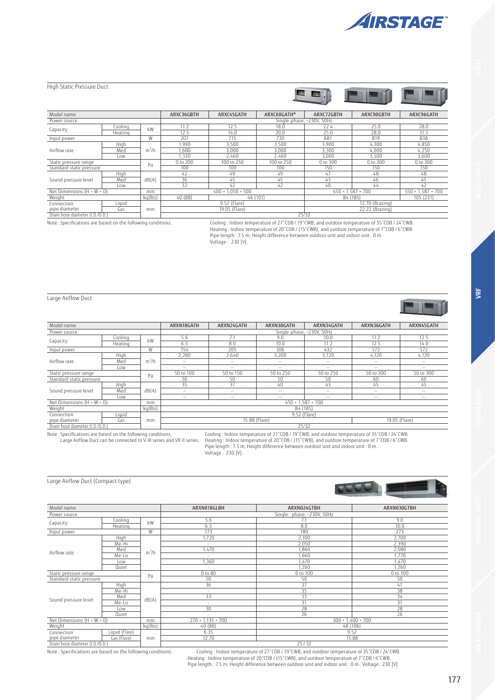

| High Static Pressure Duct                    |           |         |                                  |                               |               | <b>EE</b> TEE   |                               |                               |
|----------------------------------------------|-----------|---------|----------------------------------|-------------------------------|---------------|-----------------|-------------------------------|-------------------------------|
| Model name                                   |           |         | ARXC36GBTH                       | ARXC45GATH                    | ARXC60GATH*   | ARXC72GBTH      | ARXC90GBTH                    | ARXC96GATH                    |
| Power source                                 |           |         |                                  |                               | Single-phase, | ~230V, 50Hz     |                               |                               |
| Capacity                                     | Cooling   | kW      | 11.2                             | 12.5                          | 18.0          | 22.4            | 25.0                          | 28.0                          |
|                                              | Heating   |         | 12.5                             | 14.0                          | 20.0          | 25.0            | 28.0                          | 31.5                          |
| Input power                                  |           | W       | 207                              | 715                           | 730           | 681             | 819                           | 838                           |
|                                              | High      |         | 1,990                            | 3,500                         | 3,500         | 3,900           | 4,300                         | 4,850                         |
| Airflow rate                                 | Med       | $m^3/h$ | 1.680                            | 3.000                         | 3.000         | 3,300           | 4,000                         | 4,250                         |
|                                              | Low       |         | ,330                             | 2,460                         | 2,460         | 3,000           | 3,500                         | 3,600                         |
| Static pressure range                        |           | Pa      | 0 to 200                         | 100 to 250                    | 100 to 250    | 0 to 300        | 0 to 300                      | 0 to 300                      |
| Standard static pressure                     |           |         | 100                              | 100                           | 100           | 150             | 150                           | 150                           |
|                                              | High      |         | 42                               | 49                            | 49            | 47              | 48                            | 48                            |
| Sound pressure level                         | Med       | dB(A)   | 36                               | 45                            | 45            | 43              | 46                            | 45                            |
|                                              | Low       |         | 32                               | 42                            | 42            | 40              | 44                            | 42                            |
| Net Dimensions $(H \times W \times D)$<br>mm |           |         |                                  | $400 \times 1.050 \times 500$ |               |                 | $450 \times 1,587 \times 700$ | $550 \times 1,587 \times 700$ |
| $kq$ (lbs)<br>Weight                         |           |         | 40 (88)                          |                               | 46 (101)      | 84 (185)        |                               | 105 (231)                     |
| Liquid<br>Connection                         |           |         |                                  | 9.52 (Flare)                  |               | 12.70 (Brazing) |                               |                               |
| pipe diameter                                | Gas<br>mm |         | 19.05 (Flare)<br>22.22 (Brazing) |                               |               |                 |                               |                               |
| Drain hose diameter (I.D./O.D.)              |           |         |                                  |                               |               | 25/32           |                               |                               |

Ooling : Indoor temperature of 27°CDB / 19°CWB, and outdoor temperature of 27°CDD / 19°CWB, and outdoor temperature of 37°CDB / 24°CWB<br>Heating : Indoor temperature of 20°CDB / [5°CWB Heating indoor temperature of 27°CDB / Voltage : 230 [V].

Large Airflow Duct

| Model name                                                                                                                                                                                                                                 |         |         | ARXN18GATH                     | ARXN24GATH                                                      | ARXN30GATH                    | ARXN34GATH                | ARXN36GATH | ARXN45GATH               |  |  |
|--------------------------------------------------------------------------------------------------------------------------------------------------------------------------------------------------------------------------------------------|---------|---------|--------------------------------|-----------------------------------------------------------------|-------------------------------|---------------------------|------------|--------------------------|--|--|
| Power source                                                                                                                                                                                                                               |         |         |                                |                                                                 |                               | Single-phase, ~230V, 50Hz |            |                          |  |  |
|                                                                                                                                                                                                                                            | Cooling | kW      | 5.6                            | 7.1                                                             | 9.0                           | 10.0                      | 11.2       | 12.5                     |  |  |
| Capacity                                                                                                                                                                                                                                   | Heating |         | 6.3                            | 8.0                                                             | 10.0                          | 11.2                      | 12.5       | 14.0                     |  |  |
| W<br>Input power                                                                                                                                                                                                                           |         |         | 154                            | 205                                                             | 306                           | 432                       | 572        | 572                      |  |  |
|                                                                                                                                                                                                                                            | High    |         | 2,280                          | 2,640                                                           | 3.200                         | 3,720                     | 4,120      | 4,120                    |  |  |
| Airflow rate                                                                                                                                                                                                                               | Med     | $m^3/h$ |                                | -                                                               |                               | $\overline{\phantom{0}}$  |            | $\overline{\phantom{a}}$ |  |  |
|                                                                                                                                                                                                                                            | Low     |         | -                              | -                                                               |                               | $\overline{\phantom{0}}$  | -          |                          |  |  |
| Static pressure range                                                                                                                                                                                                                      |         |         |                                | 50 to 150                                                       | 50 to 250                     | 50 to 250                 | 50 to 300  | 50 to 300                |  |  |
| Standard static pressure                                                                                                                                                                                                                   |         | Pa      | 50                             | 50                                                              | 50                            | 50                        | 60         | 60                       |  |  |
|                                                                                                                                                                                                                                            | High    |         | 35                             | 37                                                              | 40                            | 43                        | 45         | 45                       |  |  |
| Sound pressure level                                                                                                                                                                                                                       | Med     | dB(A)   | -                              | -                                                               | -                             | $\overline{\phantom{0}}$  | -          | $\overline{\phantom{a}}$ |  |  |
|                                                                                                                                                                                                                                            | Low     |         | $\overline{\phantom{0}}$       | -                                                               | -                             | -                         | -          | $\overline{\phantom{m}}$ |  |  |
| Net Dimensions $(H \times W \times D)$                                                                                                                                                                                                     |         | mm      |                                |                                                                 | $450 \times 1,587 \times 700$ |                           |            |                          |  |  |
| Weight                                                                                                                                                                                                                                     |         | kg(lbs) |                                |                                                                 | 84 (185)                      |                           |            |                          |  |  |
| Connection                                                                                                                                                                                                                                 | Liquid  |         | 9.52 (Flare)                   |                                                                 |                               |                           |            |                          |  |  |
| pipe diameter<br>Gas<br>mm                                                                                                                                                                                                                 |         |         | 15.88 (Flare)<br>19.05 (Flare) |                                                                 |                               |                           |            |                          |  |  |
| Drain hose diameter (I.D./O.D.)                                                                                                                                                                                                            |         |         | 25/32                          |                                                                 |                               |                           |            |                          |  |  |
| $\mathbf{A} \mathbf{B}$ and $\mathbf{B}$ are assumed to the contract of the contract of the contract of the contract of the contract of the contract of the contract of the contract of the contract of the contract of the contract of th |         |         |                                | $\epsilon$ ii ii is a forecontractum ii ii ii is forecontractum |                               |                           |            |                          |  |  |

Large Airflow Duct (Compact type)

Note : Specifications are based on the following conditions. (Cooling : Indoor temperature of 27°CDB / 19°CWB, and outdoor temperature of 35°CDB / 24°CWB.<br>Large Airflow Duct can be connected to V-III series and VR-II seri

SEE EN

|                                              |                |                               |                 |                               | COCO. IN<br><u> San San San San Sa</u><br>bГ. |
|----------------------------------------------|----------------|-------------------------------|-----------------|-------------------------------|-----------------------------------------------|
| Model name                                   |                |                               | ARXN018GLBH     | ARXN024GTBH                   | ARXN030GTBH                                   |
| Power source                                 |                |                               |                 | Single - phase, ~230V, 50Hz   |                                               |
|                                              | Cooling        | kW                            | 5.6             |                               | 9.0                                           |
| Capacity                                     | Heating        |                               | 6.3             | 8.0                           | 10.0                                          |
| Input power                                  |                | W                             | 173             | 180                           | 273                                           |
|                                              | High           |                               | 1,720           | 2,100                         | 2,700                                         |
|                                              | Me-Hi          |                               | $\sim$          | 2,050                         | 2,390                                         |
| Airflow rate                                 | Med            | $m^3/h$                       | 1,470           | 1,860                         | 2,080                                         |
|                                              | Me-Lo          |                               | $\sim$          | 1,660                         | 1,770                                         |
|                                              | Low            |                               | ,360            | 1,470                         | 1,470                                         |
|                                              | Quiet          |                               | ÷               | 1,260                         | 1,260                                         |
| Static pressure range                        |                | Pa                            | $0$ to $80$     | 0 to 100                      | $0$ to $\overline{100}$                       |
| Standard static pressure                     |                |                               | 50              | 50                            | 50                                            |
|                                              | High           |                               | $\overline{36}$ | $\overline{37}$               | 41                                            |
|                                              | Me-Hi          |                               | ×,              | 35                            | 38                                            |
| Sound pressure level                         | Med            | dB(A)                         | 33              | 33                            | 34                                            |
|                                              | Me-Lo          |                               | ٠               | 31                            | 31                                            |
|                                              | Low            |                               | 30              | 28                            | 28                                            |
|                                              | Quiet          |                               | ٠               | 26                            | 26                                            |
| Net Dimensions $(H \times W \times D)$<br>mm |                | $270 \times 1.135 \times 700$ |                 | $300 \times 1,400 \times 700$ |                                               |
| Weight                                       |                | kq(lbs)                       | 40 (88)         | 48 (106)                      |                                               |
| Connection                                   | Liquid (Flare) |                               | 6.35            | 9.52                          |                                               |
| pipe diameter                                | Gas (Flare)    | mm                            | 12.70           |                               | 15.88                                         |
| Drain hose diameter (I.D./O.D.)              |                |                               |                 | 25/32                         |                                               |

.0061724°Cooling : Indoor temperature of 27°CDB / 19°CWB, and outdoor temperature of 35°CDB / 24°CWB<br>Heating : Indoor temperature of 20°CDB / (15°CMB), and outdoor temperature of 7°CDB / 16°CDB<br>Pipe length : 7.5 m; Height



**VRF**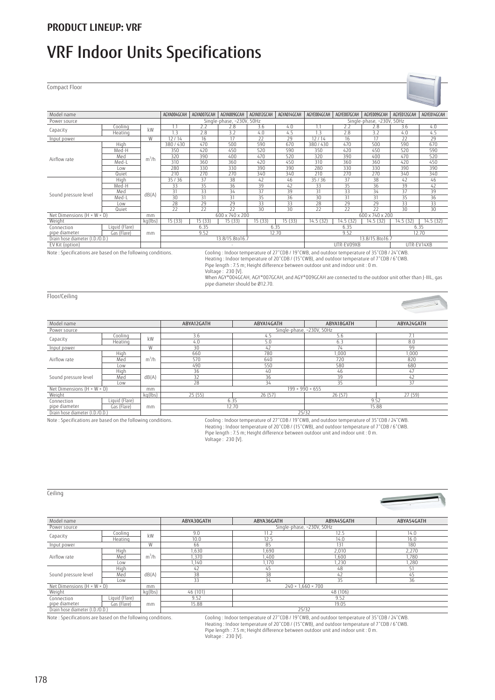### **PRODUCT LINEUP: VRF**

## VRF Indoor Units Specifications

Compact Floor



Heating : Indoor temperature of 20 °CDB / (15 °CWB), and outdoor temperature of 7 °CDB / 6 °CWB.

Pipe length : 7.5 m; Height difference between outdoor unit and indoor unit : 0 m

Voltage : 230 [V].

 When AGY\*004GCAH, AGY\*007GCAH, and AGY\*009GCAH are connected to the outdoor unit other than J-IIIL, gas pipe diameter should be Ø12.70.

Floor/Ceiling

Ceiling

| Model name                             |                |            | ABYA12GATH | ABYA14GATH                  | ABYA18GATH                | ABYA24GATH |
|----------------------------------------|----------------|------------|------------|-----------------------------|---------------------------|------------|
| Power source                           |                |            |            |                             | Single-phase, ~230V, 50Hz |            |
| Capacity                               | Cooling        | kW         | 3.6        | 4.5                         | 5.6                       |            |
|                                        | Heating        |            | 4.0        | 5.0                         | 6.3                       | 8.0        |
| Input power                            |                | W          | 30         | 42                          | 74                        | 99         |
|                                        | High           |            | 660        | 780                         | 1,000                     | 1,000      |
| Airflow rate                           | Med            | $m^3/h$    | 570        | 640                         | 720                       | 820        |
|                                        | Low            |            | 490        | 550                         | 580                       | 680        |
|                                        | High           |            | 36         | 40                          | 46                        | 47         |
| Sound pressure level                   | Med            | dB(A)      | 32         | 36                          | 39                        | 42         |
|                                        | Low            |            | 28         | 34                          | 35                        | 37         |
| Net Dimensions $(H \times W \times D)$ |                | mm         |            | $199 \times 990 \times 655$ |                           |            |
| Weight                                 |                | $kq$ (lbs) | 25(55)     | 26(57)                      | 26(57)                    | 27(59)     |
| Connection                             | Liquid (Flare) |            | 6.35       |                             | 9.52                      |            |
| pipe diameter                          | Gas (Flare)    | mm         | 12.70      |                             |                           | 15.88      |
| Drain hose diameter (I.D./O.D.)        |                |            |            | 25/32                       |                           |            |

Note : Specifications are based on the following conditions. Cooling : Indoor temperature of 27°CDB / 19°CWB, and outdoor temperature of 35°CDB / 24°CWB. Heating : Indoor temperature of 20°CDB / (15°CWB), and outdoor temperature of 7°CDB / 6°CWB. Pipe length : 7.5 m; Height difference between outdoor unit and indoor unit : 0 m. Voltage : 230 [V].

| Model name                             |                |         | ABYA30GATH                | ABYA36GATH<br>ABYA45GATH<br>ABYA54GATH |          |       |  |  |  |  |
|----------------------------------------|----------------|---------|---------------------------|----------------------------------------|----------|-------|--|--|--|--|
| Power source                           |                |         | Single-phase, ~230V, 50Hz |                                        |          |       |  |  |  |  |
| Capacity                               | Cooling        | kW      | 9.0                       | 11.2                                   | 12.5     | 14.0  |  |  |  |  |
|                                        | Heating        |         | 10.0                      | 12.5                                   | 14.0     | 16.0  |  |  |  |  |
| Input power                            |                | W       | 66                        | 85                                     | 131      | 180   |  |  |  |  |
|                                        | High           |         | ,630                      | ,690                                   | 2,010    | 2,270 |  |  |  |  |
| Airflow rate                           | Med            | $m^3/h$ | ,370                      | .400                                   | 1,600    | 1,780 |  |  |  |  |
|                                        | Low            |         | 1,140                     | 1,170                                  | 1,230    | 1,280 |  |  |  |  |
|                                        | High           |         | 42                        | 45                                     | 48       | 51    |  |  |  |  |
| Sound pressure level                   | Med            | dB(A)   | 38                        | 38                                     | 42       | 45    |  |  |  |  |
|                                        | Low            |         | 33                        | 34                                     | 35       | 36    |  |  |  |  |
| Net Dimensions $(H \times W \times D)$ |                | mm      |                           | $240 \times 1.660 \times 700$          |          |       |  |  |  |  |
| Weight                                 |                | kg(lbs) | 46 (101)                  |                                        | 48 (106) |       |  |  |  |  |
| Connection                             | Liquid (Flare) |         | 9.52                      |                                        | 9.52     |       |  |  |  |  |
| pipe diameter                          | Gas (Flare)    | mm      | 15.88                     |                                        | 19.05    |       |  |  |  |  |
| Drain hose diameter (I.D./O.D.         |                |         | 25/32                     |                                        |          |       |  |  |  |  |

Note : Specifications are based on the following conditions. Cooling : Indoor temperature of 27ÝCDB / 19ÝCWB, and outdoor temperature of 35ÝCDB / 24ÝCWB. Heating : Indoor temperature of 20ÝCDB / (15ÝCWB), and outdoor temperature of 7ÝCDB / 6ÝCWB. Pipe length : 7.5 m; Height difference between outdoor unit and indoor unit : 0 m. Voltage : 230 [V].